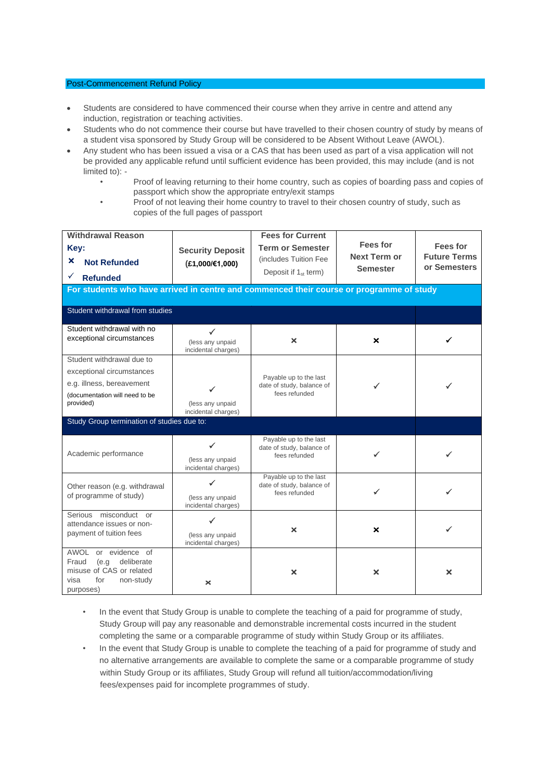## Post-Commencement Refund Policy

- Students are considered to have commenced their course when they arrive in centre and attend any induction, registration or teaching activities.
- Students who do not commence their course but have travelled to their chosen country of study by means of a student visa sponsored by Study Group will be considered to be Absent Without Leave (AWOL).
- Any student who has been issued a visa or a CAS that has been used as part of a visa application will not be provided any applicable refund until sufficient evidence has been provided, this may include (and is not limited to): -
	- Proof of leaving returning to their home country, such as copies of boarding pass and copies of passport which show the appropriate entry/exit stamps
	- Proof of not leaving their home country to travel to their chosen country of study, such as copies of the full pages of passport

| <b>Withdrawal Reason</b><br>Key:<br>×<br><b>Not Refunded</b><br>✓<br><b>Refunded</b>                                     | <b>Security Deposit</b><br>$(E1,000/\epsilon1,000)$     | <b>Fees for Current</b><br><b>Term or Semester</b><br>(includes Tuition Fee<br>Deposit if $1_{st}$ term) | <b>Fees for</b><br><b>Next Term or</b><br><b>Semester</b> | <b>Fees for</b><br><b>Future Terms</b><br>or Semesters |
|--------------------------------------------------------------------------------------------------------------------------|---------------------------------------------------------|----------------------------------------------------------------------------------------------------------|-----------------------------------------------------------|--------------------------------------------------------|
| For students who have arrived in centre and commenced their course or programme of study                                 |                                                         |                                                                                                          |                                                           |                                                        |
| Student withdrawal from studies                                                                                          |                                                         |                                                                                                          |                                                           |                                                        |
| Student withdrawal with no<br>exceptional circumstances                                                                  | ✓<br>(less any unpaid<br>incidental charges)            | $\boldsymbol{\mathsf{x}}$                                                                                | ×                                                         |                                                        |
| Student withdrawal due to                                                                                                |                                                         |                                                                                                          |                                                           |                                                        |
| exceptional circumstances                                                                                                |                                                         | Payable up to the last                                                                                   |                                                           |                                                        |
| e.g. illness, bereavement                                                                                                |                                                         | date of study, balance of                                                                                |                                                           |                                                        |
| (documentation will need to be<br>provided)                                                                              | (less any unpaid<br>incidental charges)                 | fees refunded                                                                                            |                                                           |                                                        |
| Study Group termination of studies due to:                                                                               |                                                         |                                                                                                          |                                                           |                                                        |
| Academic performance                                                                                                     | ✓<br>(less any unpaid<br>incidental charges)            | Payable up to the last<br>date of study, balance of<br>fees refunded                                     |                                                           |                                                        |
| Other reason (e.g. withdrawal<br>of programme of study)                                                                  | ✓<br>(less any unpaid<br>incidental charges)            | Payable up to the last<br>date of study, balance of<br>fees refunded                                     |                                                           |                                                        |
| Serious misconduct or<br>attendance issues or non-<br>payment of tuition fees                                            | $\checkmark$<br>(less any unpaid<br>incidental charges) | ×                                                                                                        | ×                                                         |                                                        |
| AWOL or evidence of<br>Fraud<br>deliberate<br>(e.q)<br>misuse of CAS or related<br>for<br>visa<br>non-study<br>purposes) | ×                                                       | ×                                                                                                        | ×                                                         | ×                                                      |

- In the event that Study Group is unable to complete the teaching of a paid for programme of study, Study Group will pay any reasonable and demonstrable incremental costs incurred in the student completing the same or a comparable programme of study within Study Group or its affiliates.
- In the event that Study Group is unable to complete the teaching of a paid for programme of study and no alternative arrangements are available to complete the same or a comparable programme of study within Study Group or its affiliates, Study Group will refund all tuition/accommodation/living fees/expenses paid for incomplete programmes of study.